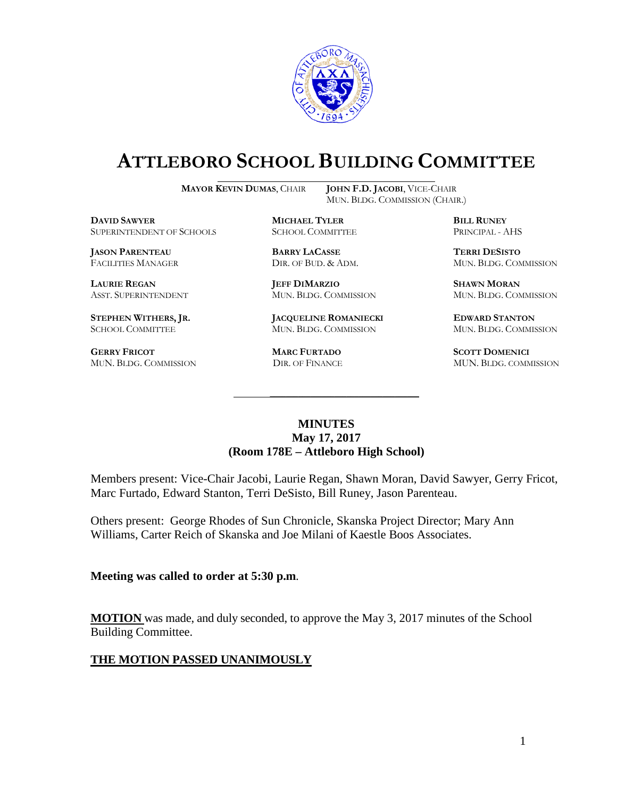

# **ATTLEBORO SCHOOL BUILDING COMMITTEE**

**MAYOR KEVIN DUMAS**, CHAIR **JOHN F.D. JACOBI**, VICE-CHAIR

MUN. BLDG. COMMISSION (CHAIR.)

**DAVID SAWYER MICHAEL TYLER BILL RUNEY** SUPERINTENDENT OF SCHOOLS

**JASON PARENTEAU BARRY LACASSE TERRI DESISTO**

**GERRY FRICOT MARC FURTADO SCOTT DOMENICI** 

**LAURIE REGAN JEFF DIMARZIO SHAWN MORAN**

**STEPHEN WITHERS, JR. JACQUELINE ROMANIECKI EDWARD STANTON** SCHOOL COMMITTEE MUN. BLDG. COMMISSION MUN. BLDG. COMMISSION

FACILITIES MANAGER DIR. OF BUD. & ADM. MUN. BLDG. COMMISSION

ASST. SUPERINTENDENT MUN. BLDG. COMMISSION MUN. BLDG. COMMISSION

MUN. BLDG. COMMISSION DIR. OF FINANCE MUN. BLDG. COMMISSION

### **MINUTES May 17, 2017 (Room 178E – Attleboro High School)**

\_\_\_\_\_\_\_\_\_\_\_\_\_\_\_\_\_\_\_\_\_\_\_\_\_\_\_\_\_\_\_\_\_\_\_\_\_

Members present: Vice-Chair Jacobi, Laurie Regan, Shawn Moran, David Sawyer, Gerry Fricot, Marc Furtado, Edward Stanton, Terri DeSisto, Bill Runey, Jason Parenteau.

Others present: George Rhodes of Sun Chronicle, Skanska Project Director; Mary Ann Williams, Carter Reich of Skanska and Joe Milani of Kaestle Boos Associates.

**Meeting was called to order at 5:30 p.m**.

**MOTION** was made, and duly seconded, to approve the May 3, 2017 minutes of the School Building Committee.

### **THE MOTION PASSED UNANIMOUSLY**